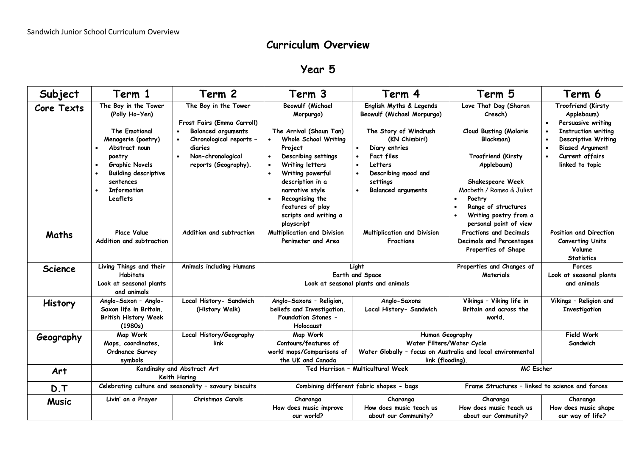## **Curriculum Overview**

## **Year 5**

| Subject           | Term 1                                                                                                                                                                                                                 | Term 2                                                                                                                                                             | Term 3                                                                                                                                                                                                                                                                                                                                                 | Term 4                                                                                                                                                                                                                  | Term 5                                                                                                                                                                                                                                                                           | Term 6                                                                                                                                                                             |
|-------------------|------------------------------------------------------------------------------------------------------------------------------------------------------------------------------------------------------------------------|--------------------------------------------------------------------------------------------------------------------------------------------------------------------|--------------------------------------------------------------------------------------------------------------------------------------------------------------------------------------------------------------------------------------------------------------------------------------------------------------------------------------------------------|-------------------------------------------------------------------------------------------------------------------------------------------------------------------------------------------------------------------------|----------------------------------------------------------------------------------------------------------------------------------------------------------------------------------------------------------------------------------------------------------------------------------|------------------------------------------------------------------------------------------------------------------------------------------------------------------------------------|
| <b>Core Texts</b> | The Boy in the Tower<br>(Polly Ho-Yen)<br><b>The Emotional</b><br>Menagerie (poetry)<br>Abstract noun<br>poetry<br><b>Graphic Novels</b><br><b>Building descriptive</b><br>sentences<br><b>Information</b><br>Leaflets | The Boy in the Tower<br>Frost Fairs (Emma Carroll)<br><b>Balanced arguments</b><br>Chronological reports -<br>diaries<br>Non-chronological<br>reports (Geogrophy). | <b>Beowulf (Michael</b><br>Morpurgo)<br>The Arrival (Shaun Tan)<br>Whole School Writing<br>$\bullet$<br>Project<br>Describing settings<br>$\bullet$<br>Writing letters<br>$\bullet$<br>Writing powerful<br>$\bullet$<br>description in a<br>narrative style<br>Recognising the<br>$\bullet$<br>features of play<br>scripts and writing a<br>playscript | English Myths & Legends<br><b>Beowulf (Michael Morpurgo)</b><br>The Story of Windrush<br>(KN Chimbiri)<br>Diary entries<br><b>Fact files</b><br>Letters<br>Describing mood and<br>settings<br><b>Balanced arguments</b> | Love That Dog (Sharon<br>Creech)<br><b>Cloud Busting (Malorie</b><br>Blackman)<br>Troofriend (Kirsty<br>Applebaum)<br>Shakespeare Week<br>Macbeth / Romeo & Juliet<br>Poetry<br>$\bullet$<br>Range of structures<br>$\bullet$<br>Writing poetry from a<br>personal point of view | Troofriend (Kirsty<br>Applebaum)<br>Persuasive writing<br><b>Instruction writing</b><br><b>Descriptive Writing</b><br><b>Biased Argument</b><br>Current affairs<br>linked to topic |
| Maths             | <b>Place Value</b><br>Addition and subtraction                                                                                                                                                                         | Addition and subtraction                                                                                                                                           | <b>Multiplication and Division</b><br>Perimeter and Area                                                                                                                                                                                                                                                                                               | Multiplication and Division<br><b>Fractions</b>                                                                                                                                                                         | <b>Fractions and Decimals</b><br>Decimals and Percentages<br>Properties of Shape                                                                                                                                                                                                 | Position and Direction<br><b>Converting Units</b><br>Volume<br><b>Statistics</b>                                                                                                   |
| <b>Science</b>    | Living Things and their<br><b>Habitats</b><br>Look at seasonal plants<br>and animals                                                                                                                                   | <b>Animals including Humans</b>                                                                                                                                    | Light<br>Earth and Space<br>Look at seasonal plants and animals                                                                                                                                                                                                                                                                                        |                                                                                                                                                                                                                         | Properties and Changes of<br>Materials                                                                                                                                                                                                                                           | <b>Forces</b><br>Look at seasonal plants<br>and animals                                                                                                                            |
| History           | Anglo-Saxon - Anglo-<br>Saxon life in Britain.<br><b>British History Week</b><br>(1980s)                                                                                                                               | Local History- Sandwich<br>(History Walk)                                                                                                                          | Anglo-Saxons - Religion,<br>beliefs and Investigation.<br><b>Foundation Stones -</b><br><b>Holocaust</b>                                                                                                                                                                                                                                               | Anglo-Saxons<br>Local History- Sandwich                                                                                                                                                                                 | Vikings - Viking life in<br>Britain and across the<br>world.                                                                                                                                                                                                                     | Vikings - Religion and<br>Investigation                                                                                                                                            |
| Geography         | Map Work<br>Maps, coordinates,<br>Ordnance Survey<br>symbols                                                                                                                                                           | Local History/Geography<br>link                                                                                                                                    | Map Work<br>Contours/features of<br>world maps/Comparisons of<br>the UK and Canada                                                                                                                                                                                                                                                                     | Human Geography<br>Water Filters/Water Cycle<br>Water Globally - focus on Australia and local environmental<br>link (flooding).                                                                                         |                                                                                                                                                                                                                                                                                  | Field Work<br>Sandwich                                                                                                                                                             |
| Art               | Kandinsky and Abstract Art<br>Keith Haring                                                                                                                                                                             |                                                                                                                                                                    | Ted Harrison - Multicultural Week                                                                                                                                                                                                                                                                                                                      |                                                                                                                                                                                                                         | MC Escher                                                                                                                                                                                                                                                                        |                                                                                                                                                                                    |
| D.T               | Celebrating culture and seasonality - savoury biscuits                                                                                                                                                                 |                                                                                                                                                                    | Combining different fabric shapes - bags                                                                                                                                                                                                                                                                                                               |                                                                                                                                                                                                                         | Frame Structures - linked to science and forces                                                                                                                                                                                                                                  |                                                                                                                                                                                    |
| <b>Music</b>      | Livin' on a Prayer                                                                                                                                                                                                     | Christmas Carols                                                                                                                                                   | Charanga<br>How does music improve<br>our world?                                                                                                                                                                                                                                                                                                       | Charanga<br>How does music teach us<br>about our Community?                                                                                                                                                             | Charanga<br>How does music teach us<br>about our Community?                                                                                                                                                                                                                      | Charanga<br>How does music shape<br>our way of life?                                                                                                                               |